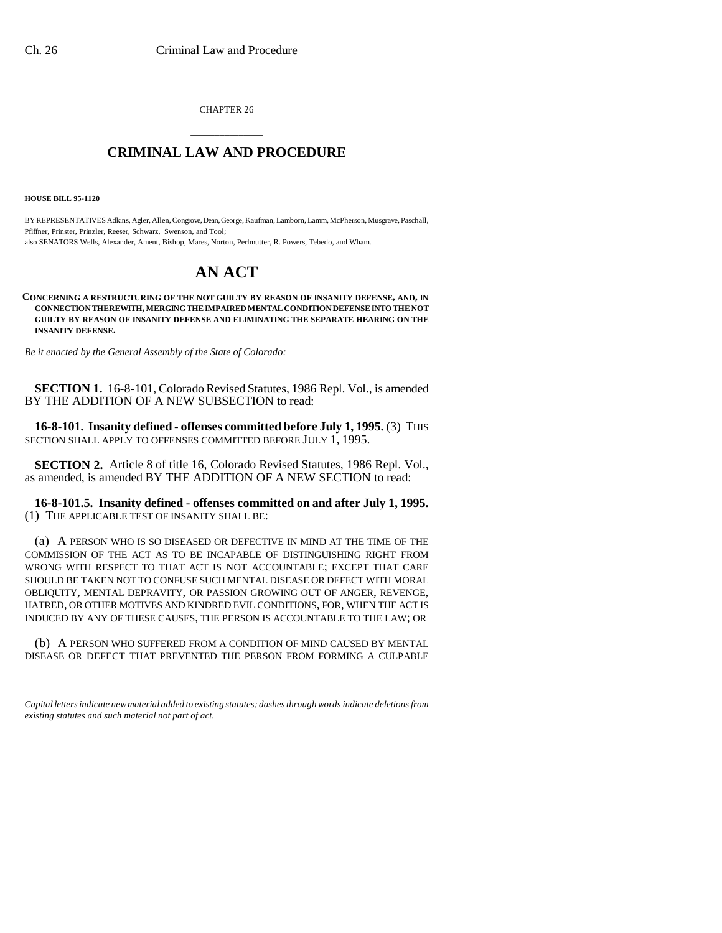CHAPTER 26

## \_\_\_\_\_\_\_\_\_\_\_\_\_\_\_ **CRIMINAL LAW AND PROCEDURE** \_\_\_\_\_\_\_\_\_\_\_\_\_\_\_

**HOUSE BILL 95-1120**

BY REPRESENTATIVES Adkins, Agler, Allen, Congrove, Dean, George, Kaufman, Lamborn, Lamm, McPherson, Musgrave, Paschall, Pfiffner, Prinster, Prinzler, Reeser, Schwarz, Swenson, and Tool; also SENATORS Wells, Alexander, Ament, Bishop, Mares, Norton, Perlmutter, R. Powers, Tebedo, and Wham.

# **AN ACT**

**CONCERNING A RESTRUCTURING OF THE NOT GUILTY BY REASON OF INSANITY DEFENSE, AND, IN CONNECTION THEREWITH, MERGING THE IMPAIRED MENTAL CONDITION DEFENSE INTO THE NOT GUILTY BY REASON OF INSANITY DEFENSE AND ELIMINATING THE SEPARATE HEARING ON THE INSANITY DEFENSE.**

*Be it enacted by the General Assembly of the State of Colorado:*

**SECTION 1.** 16-8-101, Colorado Revised Statutes, 1986 Repl. Vol., is amended BY THE ADDITION OF A NEW SUBSECTION to read:

**16-8-101. Insanity defined - offenses committed before July 1, 1995.** (3) THIS SECTION SHALL APPLY TO OFFENSES COMMITTED BEFORE JULY 1, 1995.

**SECTION 2.** Article 8 of title 16, Colorado Revised Statutes, 1986 Repl. Vol., as amended, is amended BY THE ADDITION OF A NEW SECTION to read:

**16-8-101.5. Insanity defined - offenses committed on and after July 1, 1995.** (1) THE APPLICABLE TEST OF INSANITY SHALL BE:

HATRED, OR OTHER MOTIVES AND KINDRED EVIL CONDITIONS, FOR, WHEN THE ACT IS (a) A PERSON WHO IS SO DISEASED OR DEFECTIVE IN MIND AT THE TIME OF THE COMMISSION OF THE ACT AS TO BE INCAPABLE OF DISTINGUISHING RIGHT FROM WRONG WITH RESPECT TO THAT ACT IS NOT ACCOUNTABLE; EXCEPT THAT CARE SHOULD BE TAKEN NOT TO CONFUSE SUCH MENTAL DISEASE OR DEFECT WITH MORAL OBLIQUITY, MENTAL DEPRAVITY, OR PASSION GROWING OUT OF ANGER, REVENGE, INDUCED BY ANY OF THESE CAUSES, THE PERSON IS ACCOUNTABLE TO THE LAW; OR

(b) A PERSON WHO SUFFERED FROM A CONDITION OF MIND CAUSED BY MENTAL DISEASE OR DEFECT THAT PREVENTED THE PERSON FROM FORMING A CULPABLE

*Capital letters indicate new material added to existing statutes; dashes through words indicate deletions from existing statutes and such material not part of act.*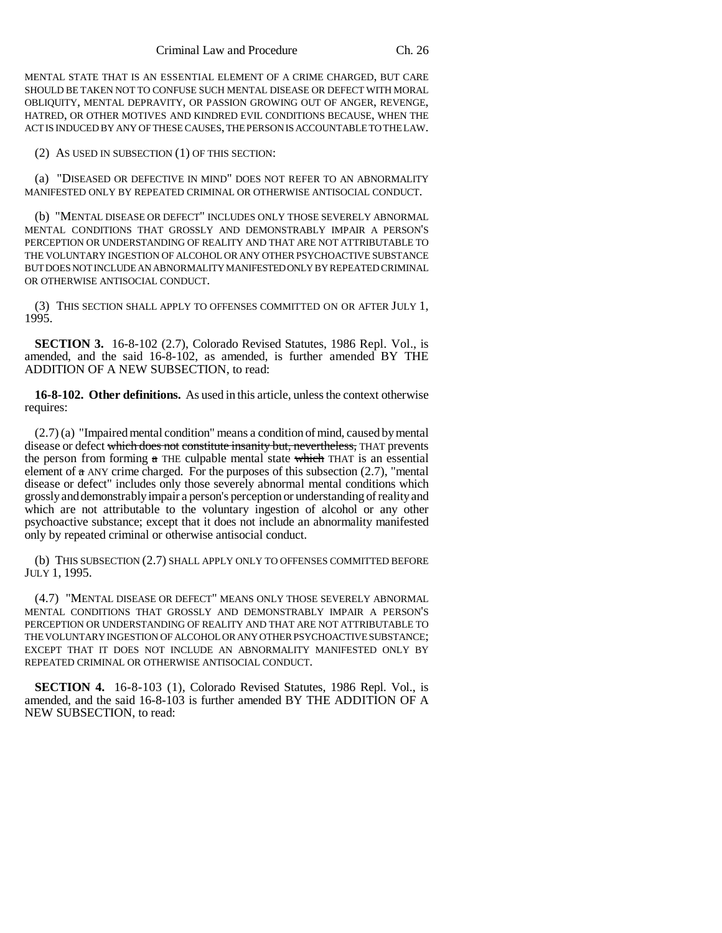MENTAL STATE THAT IS AN ESSENTIAL ELEMENT OF A CRIME CHARGED, BUT CARE SHOULD BE TAKEN NOT TO CONFUSE SUCH MENTAL DISEASE OR DEFECT WITH MORAL OBLIQUITY, MENTAL DEPRAVITY, OR PASSION GROWING OUT OF ANGER, REVENGE, HATRED, OR OTHER MOTIVES AND KINDRED EVIL CONDITIONS BECAUSE, WHEN THE ACT IS INDUCED BY ANY OF THESE CAUSES, THE PERSON IS ACCOUNTABLE TO THE LAW.

(2) AS USED IN SUBSECTION (1) OF THIS SECTION:

(a) "DISEASED OR DEFECTIVE IN MIND" DOES NOT REFER TO AN ABNORMALITY MANIFESTED ONLY BY REPEATED CRIMINAL OR OTHERWISE ANTISOCIAL CONDUCT.

(b) "MENTAL DISEASE OR DEFECT" INCLUDES ONLY THOSE SEVERELY ABNORMAL MENTAL CONDITIONS THAT GROSSLY AND DEMONSTRABLY IMPAIR A PERSON'S PERCEPTION OR UNDERSTANDING OF REALITY AND THAT ARE NOT ATTRIBUTABLE TO THE VOLUNTARY INGESTION OF ALCOHOL OR ANY OTHER PSYCHOACTIVE SUBSTANCE BUT DOES NOT INCLUDE AN ABNORMALITY MANIFESTED ONLY BY REPEATED CRIMINAL OR OTHERWISE ANTISOCIAL CONDUCT.

(3) THIS SECTION SHALL APPLY TO OFFENSES COMMITTED ON OR AFTER JULY 1, 1995.

**SECTION 3.** 16-8-102 (2.7), Colorado Revised Statutes, 1986 Repl. Vol., is amended, and the said 16-8-102, as amended, is further amended BY THE ADDITION OF A NEW SUBSECTION, to read:

**16-8-102. Other definitions.** As used in this article, unless the context otherwise requires:

(2.7) (a) "Impaired mental condition" means a condition of mind, caused by mental disease or defect which does not constitute insanity but, nevertheless, THAT prevents the person from forming a THE culpable mental state which THAT is an essential element of  $\alpha$  ANY crime charged. For the purposes of this subsection (2.7), "mental disease or defect" includes only those severely abnormal mental conditions which grossly and demonstrably impair a person's perception or understanding of reality and which are not attributable to the voluntary ingestion of alcohol or any other psychoactive substance; except that it does not include an abnormality manifested only by repeated criminal or otherwise antisocial conduct.

(b) THIS SUBSECTION (2.7) SHALL APPLY ONLY TO OFFENSES COMMITTED BEFORE JULY 1, 1995.

(4.7) "MENTAL DISEASE OR DEFECT" MEANS ONLY THOSE SEVERELY ABNORMAL MENTAL CONDITIONS THAT GROSSLY AND DEMONSTRABLY IMPAIR A PERSON'S PERCEPTION OR UNDERSTANDING OF REALITY AND THAT ARE NOT ATTRIBUTABLE TO THE VOLUNTARY INGESTION OF ALCOHOL OR ANY OTHER PSYCHOACTIVE SUBSTANCE; EXCEPT THAT IT DOES NOT INCLUDE AN ABNORMALITY MANIFESTED ONLY BY REPEATED CRIMINAL OR OTHERWISE ANTISOCIAL CONDUCT.

**SECTION 4.** 16-8-103 (1), Colorado Revised Statutes, 1986 Repl. Vol., is amended, and the said 16-8-103 is further amended BY THE ADDITION OF A NEW SUBSECTION, to read: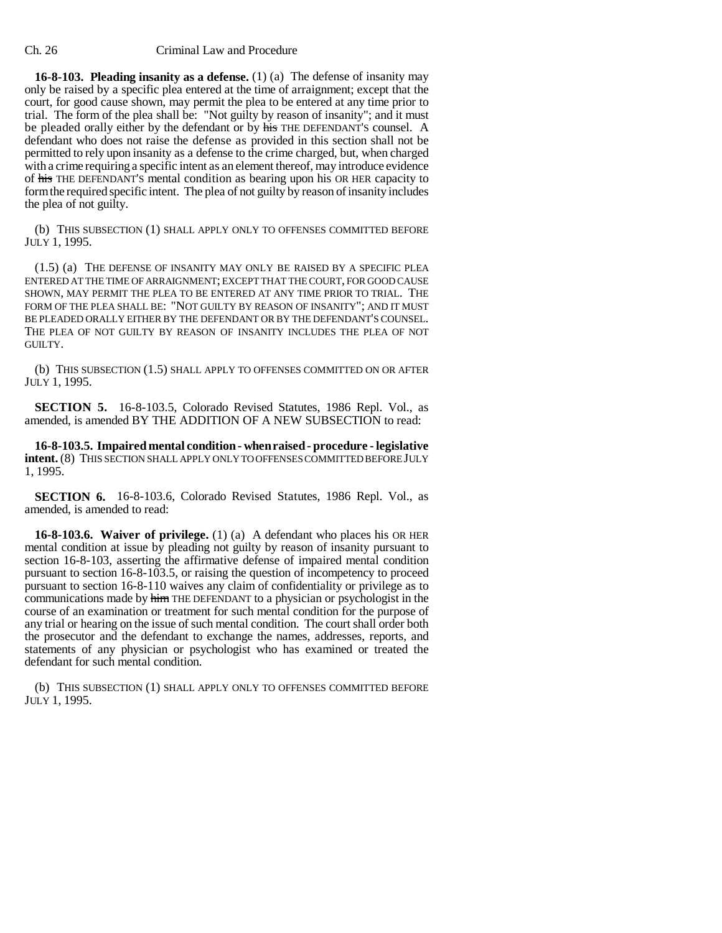### Ch. 26 Criminal Law and Procedure

**16-8-103. Pleading insanity as a defense.** (1) (a) The defense of insanity may only be raised by a specific plea entered at the time of arraignment; except that the court, for good cause shown, may permit the plea to be entered at any time prior to trial. The form of the plea shall be: "Not guilty by reason of insanity"; and it must be pleaded orally either by the defendant or by his THE DEFENDANT'S counsel. A defendant who does not raise the defense as provided in this section shall not be permitted to rely upon insanity as a defense to the crime charged, but, when charged with a crime requiring a specific intent as an element thereof, may introduce evidence of his THE DEFENDANT'S mental condition as bearing upon his OR HER capacity to form the required specific intent. The plea of not guilty by reason of insanity includes the plea of not guilty.

(b) THIS SUBSECTION (1) SHALL APPLY ONLY TO OFFENSES COMMITTED BEFORE JULY 1, 1995.

(1.5) (a) THE DEFENSE OF INSANITY MAY ONLY BE RAISED BY A SPECIFIC PLEA ENTERED AT THE TIME OF ARRAIGNMENT; EXCEPT THAT THE COURT, FOR GOOD CAUSE SHOWN, MAY PERMIT THE PLEA TO BE ENTERED AT ANY TIME PRIOR TO TRIAL. THE FORM OF THE PLEA SHALL BE: "NOT GUILTY BY REASON OF INSANITY"; AND IT MUST BE PLEADED ORALLY EITHER BY THE DEFENDANT OR BY THE DEFENDANT'S COUNSEL. THE PLEA OF NOT GUILTY BY REASON OF INSANITY INCLUDES THE PLEA OF NOT GUILTY.

(b) THIS SUBSECTION (1.5) SHALL APPLY TO OFFENSES COMMITTED ON OR AFTER JULY 1, 1995.

**SECTION 5.** 16-8-103.5, Colorado Revised Statutes, 1986 Repl. Vol., as amended, is amended BY THE ADDITION OF A NEW SUBSECTION to read:

**16-8-103.5. Impaired mental condition - when raised - procedure - legislative intent.** (8) THIS SECTION SHALL APPLY ONLY TO OFFENSES COMMITTED BEFORE JULY 1, 1995.

**SECTION 6.** 16-8-103.6, Colorado Revised Statutes, 1986 Repl. Vol., as amended, is amended to read:

**16-8-103.6. Waiver of privilege.** (1) (a) A defendant who places his OR HER mental condition at issue by pleading not guilty by reason of insanity pursuant to section 16-8-103, asserting the affirmative defense of impaired mental condition pursuant to section 16-8-103.5, or raising the question of incompetency to proceed pursuant to section 16-8-110 waives any claim of confidentiality or privilege as to communications made by him THE DEFENDANT to a physician or psychologist in the course of an examination or treatment for such mental condition for the purpose of any trial or hearing on the issue of such mental condition. The court shall order both the prosecutor and the defendant to exchange the names, addresses, reports, and statements of any physician or psychologist who has examined or treated the defendant for such mental condition.

(b) THIS SUBSECTION (1) SHALL APPLY ONLY TO OFFENSES COMMITTED BEFORE JULY 1, 1995.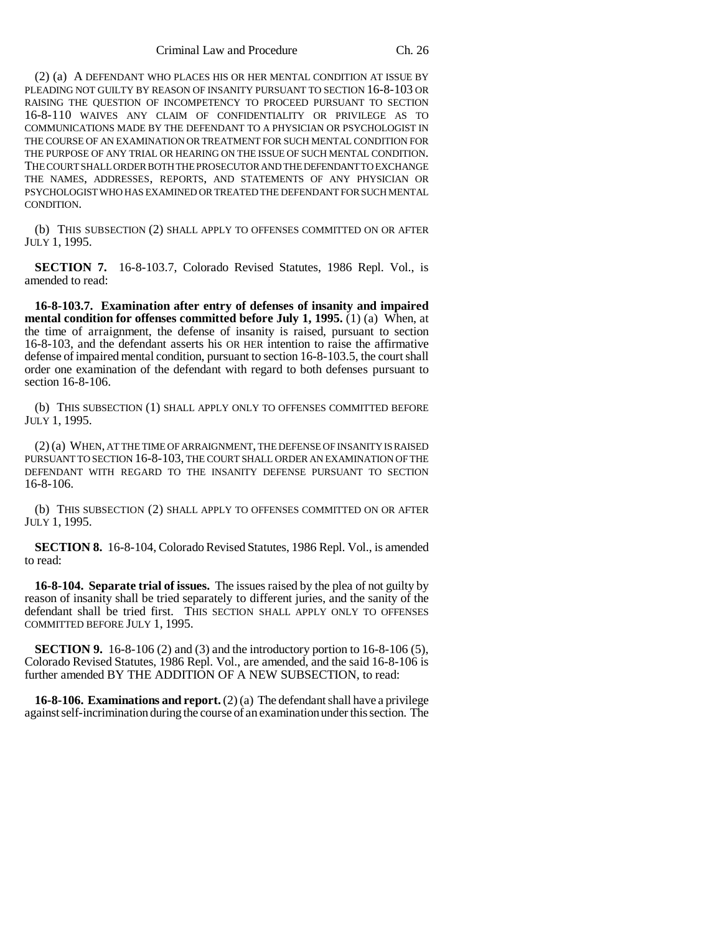(2) (a) A DEFENDANT WHO PLACES HIS OR HER MENTAL CONDITION AT ISSUE BY PLEADING NOT GUILTY BY REASON OF INSANITY PURSUANT TO SECTION 16-8-103 OR RAISING THE QUESTION OF INCOMPETENCY TO PROCEED PURSUANT TO SECTION 16-8-110 WAIVES ANY CLAIM OF CONFIDENTIALITY OR PRIVILEGE AS TO COMMUNICATIONS MADE BY THE DEFENDANT TO A PHYSICIAN OR PSYCHOLOGIST IN THE COURSE OF AN EXAMINATION OR TREATMENT FOR SUCH MENTAL CONDITION FOR THE PURPOSE OF ANY TRIAL OR HEARING ON THE ISSUE OF SUCH MENTAL CONDITION. THE COURT SHALL ORDER BOTH THE PROSECUTOR AND THE DEFENDANT TO EXCHANGE THE NAMES, ADDRESSES, REPORTS, AND STATEMENTS OF ANY PHYSICIAN OR PSYCHOLOGIST WHO HAS EXAMINED OR TREATED THE DEFENDANT FOR SUCH MENTAL CONDITION.

(b) THIS SUBSECTION (2) SHALL APPLY TO OFFENSES COMMITTED ON OR AFTER JULY 1, 1995.

**SECTION 7.** 16-8-103.7, Colorado Revised Statutes, 1986 Repl. Vol., is amended to read:

**16-8-103.7. Examination after entry of defenses of insanity and impaired mental condition for offenses committed before July 1, 1995.** (1) (a) When, at the time of arraignment, the defense of insanity is raised, pursuant to section 16-8-103, and the defendant asserts his OR HER intention to raise the affirmative defense of impaired mental condition, pursuant to section 16-8-103.5, the court shall order one examination of the defendant with regard to both defenses pursuant to section 16-8-106.

(b) THIS SUBSECTION (1) SHALL APPLY ONLY TO OFFENSES COMMITTED BEFORE JULY 1, 1995.

(2) (a) WHEN, AT THE TIME OF ARRAIGNMENT, THE DEFENSE OF INSANITY IS RAISED PURSUANT TO SECTION 16-8-103, THE COURT SHALL ORDER AN EXAMINATION OF THE DEFENDANT WITH REGARD TO THE INSANITY DEFENSE PURSUANT TO SECTION 16-8-106.

(b) THIS SUBSECTION (2) SHALL APPLY TO OFFENSES COMMITTED ON OR AFTER JULY 1, 1995.

**SECTION 8.** 16-8-104, Colorado Revised Statutes, 1986 Repl. Vol., is amended to read:

**16-8-104. Separate trial of issues.** The issues raised by the plea of not guilty by reason of insanity shall be tried separately to different juries, and the sanity of the defendant shall be tried first. THIS SECTION SHALL APPLY ONLY TO OFFENSES COMMITTED BEFORE JULY 1, 1995.

**SECTION 9.** 16-8-106 (2) and (3) and the introductory portion to 16-8-106 (5), Colorado Revised Statutes, 1986 Repl. Vol., are amended, and the said 16-8-106 is further amended BY THE ADDITION OF A NEW SUBSECTION, to read:

**16-8-106. Examinations and report.** (2) (a) The defendant shall have a privilege against self-incrimination during the course of an examination under this section. The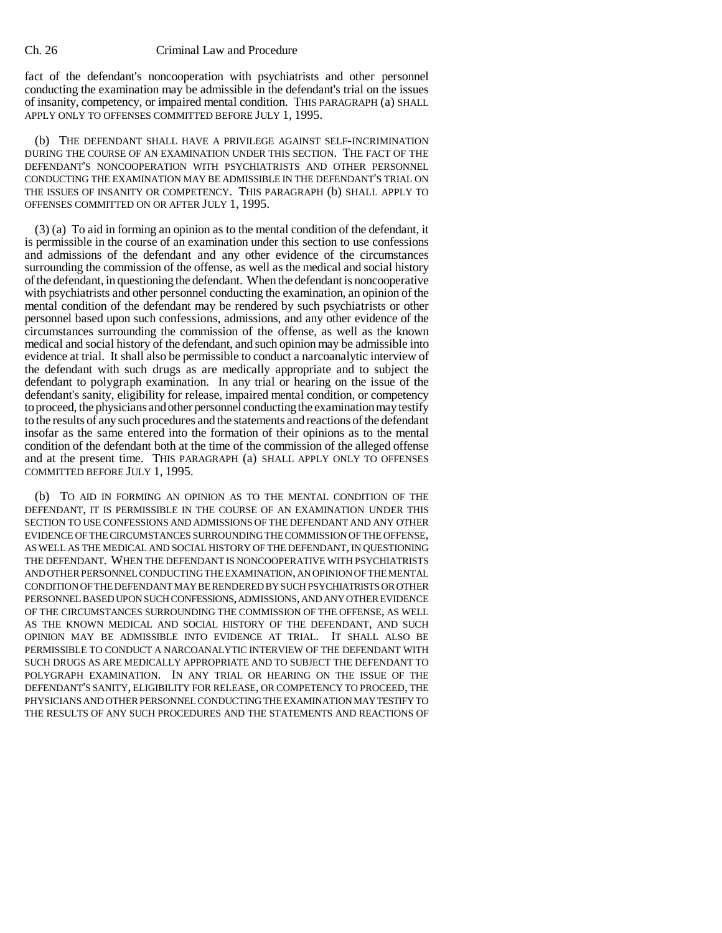### Ch. 26 Criminal Law and Procedure

fact of the defendant's noncooperation with psychiatrists and other personnel conducting the examination may be admissible in the defendant's trial on the issues of insanity, competency, or impaired mental condition. THIS PARAGRAPH (a) SHALL APPLY ONLY TO OFFENSES COMMITTED BEFORE JULY 1, 1995.

(b) THE DEFENDANT SHALL HAVE A PRIVILEGE AGAINST SELF-INCRIMINATION DURING THE COURSE OF AN EXAMINATION UNDER THIS SECTION. THE FACT OF THE DEFENDANT'S NONCOOPERATION WITH PSYCHIATRISTS AND OTHER PERSONNEL CONDUCTING THE EXAMINATION MAY BE ADMISSIBLE IN THE DEFENDANT'S TRIAL ON THE ISSUES OF INSANITY OR COMPETENCY. THIS PARAGRAPH (b) SHALL APPLY TO OFFENSES COMMITTED ON OR AFTER JULY 1, 1995.

(3) (a) To aid in forming an opinion as to the mental condition of the defendant, it is permissible in the course of an examination under this section to use confessions and admissions of the defendant and any other evidence of the circumstances surrounding the commission of the offense, as well as the medical and social history of the defendant, in questioning the defendant. When the defendant is noncooperative with psychiatrists and other personnel conducting the examination, an opinion of the mental condition of the defendant may be rendered by such psychiatrists or other personnel based upon such confessions, admissions, and any other evidence of the circumstances surrounding the commission of the offense, as well as the known medical and social history of the defendant, and such opinion may be admissible into evidence at trial. It shall also be permissible to conduct a narcoanalytic interview of the defendant with such drugs as are medically appropriate and to subject the defendant to polygraph examination. In any trial or hearing on the issue of the defendant's sanity, eligibility for release, impaired mental condition, or competency to proceed, the physicians and other personnel conducting the examination may testify to the results of any such procedures and the statements and reactions of the defendant insofar as the same entered into the formation of their opinions as to the mental condition of the defendant both at the time of the commission of the alleged offense and at the present time. THIS PARAGRAPH (a) SHALL APPLY ONLY TO OFFENSES COMMITTED BEFORE JULY 1, 1995.

(b) TO AID IN FORMING AN OPINION AS TO THE MENTAL CONDITION OF THE DEFENDANT, IT IS PERMISSIBLE IN THE COURSE OF AN EXAMINATION UNDER THIS SECTION TO USE CONFESSIONS AND ADMISSIONS OF THE DEFENDANT AND ANY OTHER EVIDENCE OF THE CIRCUMSTANCES SURROUNDING THE COMMISSION OF THE OFFENSE, AS WELL AS THE MEDICAL AND SOCIAL HISTORY OF THE DEFENDANT, IN QUESTIONING THE DEFENDANT. WHEN THE DEFENDANT IS NONCOOPERATIVE WITH PSYCHIATRISTS AND OTHER PERSONNEL CONDUCTING THE EXAMINATION, AN OPINION OF THE MENTAL CONDITION OF THE DEFENDANT MAY BE RENDERED BY SUCH PSYCHIATRISTS OR OTHER PERSONNEL BASED UPON SUCH CONFESSIONS, ADMISSIONS, AND ANY OTHER EVIDENCE OF THE CIRCUMSTANCES SURROUNDING THE COMMISSION OF THE OFFENSE, AS WELL AS THE KNOWN MEDICAL AND SOCIAL HISTORY OF THE DEFENDANT, AND SUCH OPINION MAY BE ADMISSIBLE INTO EVIDENCE AT TRIAL. IT SHALL ALSO BE PERMISSIBLE TO CONDUCT A NARCOANALYTIC INTERVIEW OF THE DEFENDANT WITH SUCH DRUGS AS ARE MEDICALLY APPROPRIATE AND TO SUBJECT THE DEFENDANT TO POLYGRAPH EXAMINATION. IN ANY TRIAL OR HEARING ON THE ISSUE OF THE DEFENDANT'S SANITY, ELIGIBILITY FOR RELEASE, OR COMPETENCY TO PROCEED, THE PHYSICIANS AND OTHER PERSONNEL CONDUCTING THE EXAMINATION MAY TESTIFY TO THE RESULTS OF ANY SUCH PROCEDURES AND THE STATEMENTS AND REACTIONS OF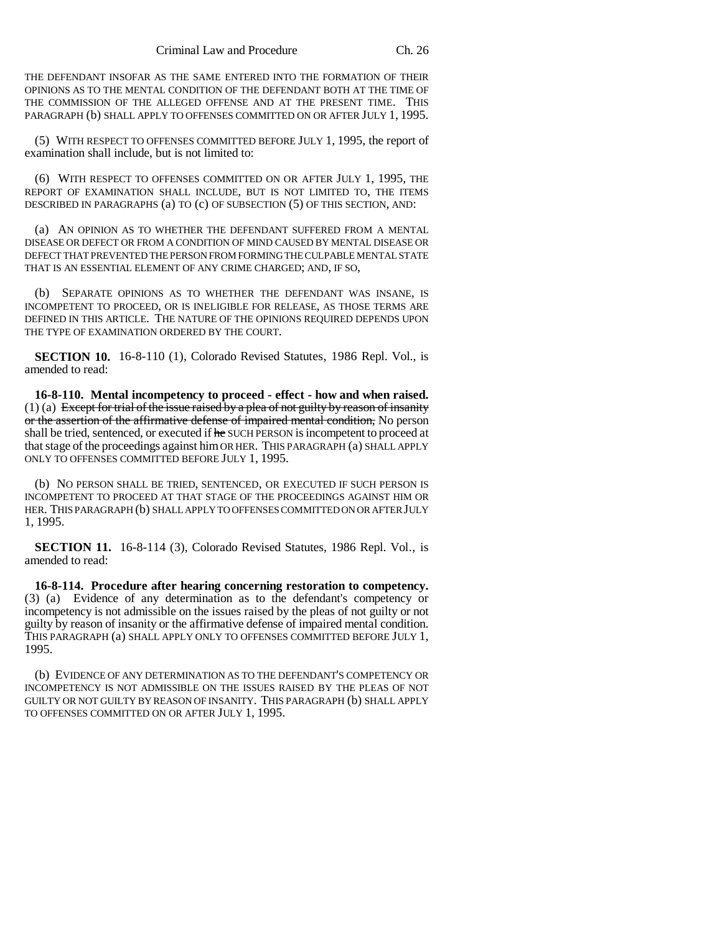THE DEFENDANT INSOFAR AS THE SAME ENTERED INTO THE FORMATION OF THEIR OPINIONS AS TO THE MENTAL CONDITION OF THE DEFENDANT BOTH AT THE TIME OF THE COMMISSION OF THE ALLEGED OFFENSE AND AT THE PRESENT TIME. THIS PARAGRAPH (b) SHALL APPLY TO OFFENSES COMMITTED ON OR AFTER JULY 1, 1995.

(5) WITH RESPECT TO OFFENSES COMMITTED BEFORE JULY 1, 1995, the report of examination shall include, but is not limited to:

(6) WITH RESPECT TO OFFENSES COMMITTED ON OR AFTER JULY 1, 1995, THE REPORT OF EXAMINATION SHALL INCLUDE, BUT IS NOT LIMITED TO, THE ITEMS DESCRIBED IN PARAGRAPHS (a) TO (c) OF SUBSECTION (5) OF THIS SECTION, AND:

(a) AN OPINION AS TO WHETHER THE DEFENDANT SUFFERED FROM A MENTAL DISEASE OR DEFECT OR FROM A CONDITION OF MIND CAUSED BY MENTAL DISEASE OR DEFECT THAT PREVENTED THE PERSON FROM FORMING THE CULPABLE MENTAL STATE THAT IS AN ESSENTIAL ELEMENT OF ANY CRIME CHARGED; AND, IF SO,

(b) SEPARATE OPINIONS AS TO WHETHER THE DEFENDANT WAS INSANE, IS INCOMPETENT TO PROCEED, OR IS INELIGIBLE FOR RELEASE, AS THOSE TERMS ARE DEFINED IN THIS ARTICLE. THE NATURE OF THE OPINIONS REQUIRED DEPENDS UPON THE TYPE OF EXAMINATION ORDERED BY THE COURT.

**SECTION 10.** 16-8-110 (1), Colorado Revised Statutes, 1986 Repl. Vol., is amended to read:

**16-8-110. Mental incompetency to proceed - effect - how and when raised.**  $(1)$  (a) Except for trial of the issue raised by a plea of not guilty by reason of insanity or the assertion of the affirmative defense of impaired mental condition, No person shall be tried, sentenced, or executed if he SUCH PERSON is incompetent to proceed at that stage of the proceedings against him OR HER. THIS PARAGRAPH (a) SHALL APPLY ONLY TO OFFENSES COMMITTED BEFORE JULY 1, 1995.

(b) NO PERSON SHALL BE TRIED, SENTENCED, OR EXECUTED IF SUCH PERSON IS INCOMPETENT TO PROCEED AT THAT STAGE OF THE PROCEEDINGS AGAINST HIM OR HER. THIS PARAGRAPH (b) SHALL APPLY TO OFFENSES COMMITTED ON OR AFTER JULY 1, 1995.

**SECTION 11.** 16-8-114 (3), Colorado Revised Statutes, 1986 Repl. Vol., is amended to read:

**16-8-114. Procedure after hearing concerning restoration to competency.** (3) (a) Evidence of any determination as to the defendant's competency or incompetency is not admissible on the issues raised by the pleas of not guilty or not guilty by reason of insanity or the affirmative defense of impaired mental condition. THIS PARAGRAPH (a) SHALL APPLY ONLY TO OFFENSES COMMITTED BEFORE JULY 1, 1995.

(b) EVIDENCE OF ANY DETERMINATION AS TO THE DEFENDANT'S COMPETENCY OR INCOMPETENCY IS NOT ADMISSIBLE ON THE ISSUES RAISED BY THE PLEAS OF NOT GUILTY OR NOT GUILTY BY REASON OF INSANITY. THIS PARAGRAPH (b) SHALL APPLY TO OFFENSES COMMITTED ON OR AFTER JULY 1, 1995.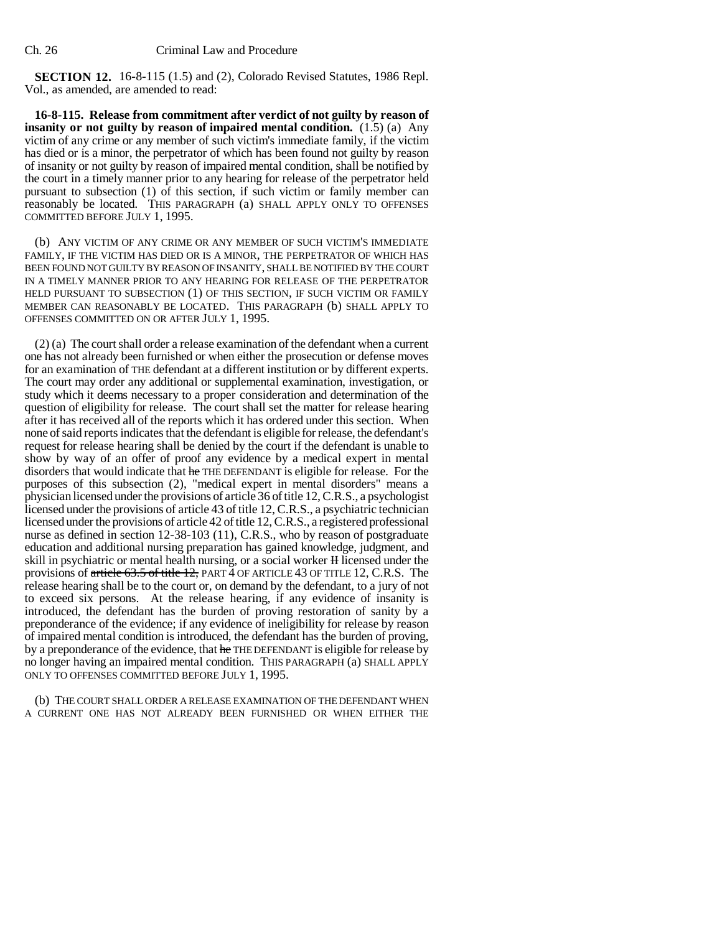### Ch. 26 Criminal Law and Procedure

**SECTION 12.** 16-8-115 (1.5) and (2), Colorado Revised Statutes, 1986 Repl. Vol., as amended, are amended to read:

**16-8-115. Release from commitment after verdict of not guilty by reason of insanity or not guilty by reason of impaired mental condition.** (1.5) (a) Any victim of any crime or any member of such victim's immediate family, if the victim has died or is a minor, the perpetrator of which has been found not guilty by reason of insanity or not guilty by reason of impaired mental condition, shall be notified by the court in a timely manner prior to any hearing for release of the perpetrator held pursuant to subsection (1) of this section, if such victim or family member can reasonably be located. THIS PARAGRAPH (a) SHALL APPLY ONLY TO OFFENSES COMMITTED BEFORE JULY 1, 1995.

(b) ANY VICTIM OF ANY CRIME OR ANY MEMBER OF SUCH VICTIM'S IMMEDIATE FAMILY, IF THE VICTIM HAS DIED OR IS A MINOR, THE PERPETRATOR OF WHICH HAS BEEN FOUND NOT GUILTY BY REASON OF INSANITY, SHALL BE NOTIFIED BY THE COURT IN A TIMELY MANNER PRIOR TO ANY HEARING FOR RELEASE OF THE PERPETRATOR HELD PURSUANT TO SUBSECTION (1) OF THIS SECTION, IF SUCH VICTIM OR FAMILY MEMBER CAN REASONABLY BE LOCATED. THIS PARAGRAPH (b) SHALL APPLY TO OFFENSES COMMITTED ON OR AFTER JULY 1, 1995.

(2) (a) The court shall order a release examination of the defendant when a current one has not already been furnished or when either the prosecution or defense moves for an examination of THE defendant at a different institution or by different experts. The court may order any additional or supplemental examination, investigation, or study which it deems necessary to a proper consideration and determination of the question of eligibility for release. The court shall set the matter for release hearing after it has received all of the reports which it has ordered under this section. When none of said reports indicates that the defendant is eligible for release, the defendant's request for release hearing shall be denied by the court if the defendant is unable to show by way of an offer of proof any evidence by a medical expert in mental disorders that would indicate that he THE DEFENDANT is eligible for release. For the purposes of this subsection (2), "medical expert in mental disorders" means a physician licensed under the provisions of article 36 of title 12, C.R.S., a psychologist licensed under the provisions of article 43 of title 12, C.R.S., a psychiatric technician licensed under the provisions of article 42 of title 12, C.R.S., a registered professional nurse as defined in section 12-38-103 (11), C.R.S., who by reason of postgraduate education and additional nursing preparation has gained knowledge, judgment, and skill in psychiatric or mental health nursing, or a social worker H licensed under the provisions of article 63.5 of title 12, PART 4 OF ARTICLE 43 OF TITLE 12, C.R.S. The release hearing shall be to the court or, on demand by the defendant, to a jury of not to exceed six persons. At the release hearing, if any evidence of insanity is introduced, the defendant has the burden of proving restoration of sanity by a preponderance of the evidence; if any evidence of ineligibility for release by reason of impaired mental condition is introduced, the defendant has the burden of proving, by a preponderance of the evidence, that he THE DEFENDANT is eligible for release by no longer having an impaired mental condition. THIS PARAGRAPH (a) SHALL APPLY ONLY TO OFFENSES COMMITTED BEFORE JULY 1, 1995.

(b) THE COURT SHALL ORDER A RELEASE EXAMINATION OF THE DEFENDANT WHEN A CURRENT ONE HAS NOT ALREADY BEEN FURNISHED OR WHEN EITHER THE